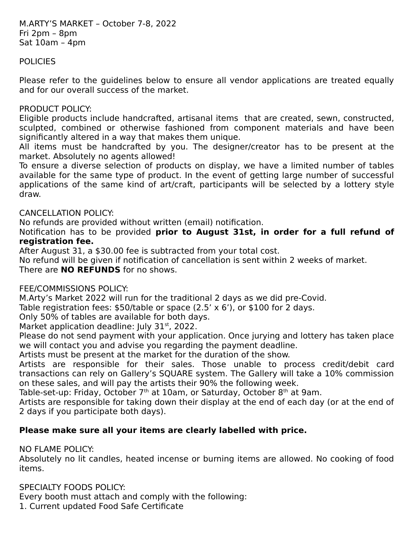## **POLICIES**

Please refer to the guidelines below to ensure all vendor applications are treated equally and for our overall success of the market.

#### PRODUCT POLICY:

Eligible products include handcrafted, artisanal items that are created, sewn, constructed, sculpted, combined or otherwise fashioned from component materials and have been significantly altered in a way that makes them unique.

All items must be handcrafted by you. The designer/creator has to be present at the market. Absolutely no agents allowed!

To ensure a diverse selection of products on display, we have a limited number of tables available for the same type of product. In the event of getting large number of successful applications of the same kind of art/craft, participants will be selected by a lottery style draw.

### CANCELLATION POLICY:

No refunds are provided without written (email) notification.

Notification has to be provided **prior to August 31st, in order for a full refund of registration fee.**

After August 31, a \$30.00 fee is subtracted from your total cost.

No refund will be given if notification of cancellation is sent within 2 weeks of market. There are **NO REFUNDS** for no shows.

### FEE/COMMISSIONS POLICY:

M.Arty's Market 2022 will run for the traditional 2 days as we did pre-Covid.

Table registration fees: \$50/table or space (2.5' x 6'), or \$100 for 2 days.

Only 50% of tables are available for both days.

Market application deadline: July  $31<sup>st</sup>$ , 2022.

Please do not send payment with your application. Once jurying and lottery has taken place we will contact you and advise you regarding the payment deadline.

Artists must be present at the market for the duration of the show.

Artists are responsible for their sales. Those unable to process credit/debit card transactions can rely on Gallery's SQUARE system. The Gallery will take a 10% commission on these sales, and will pay the artists their 90% the following week.

Table-set-up: Friday, October 7<sup>th</sup> at 10am, or Saturday, October 8<sup>th</sup> at 9am.

Artists are responsible for taking down their display at the end of each day (or at the end of 2 days if you participate both days).

# **Please make sure all your items are clearly labelled with price.**

NO FLAME POLICY:

Absolutely no lit candles, heated incense or burning items are allowed. No cooking of food items.

SPECIALTY FOODS POLICY:

Every booth must attach and comply with the following:

1. Current updated Food Safe Certificate